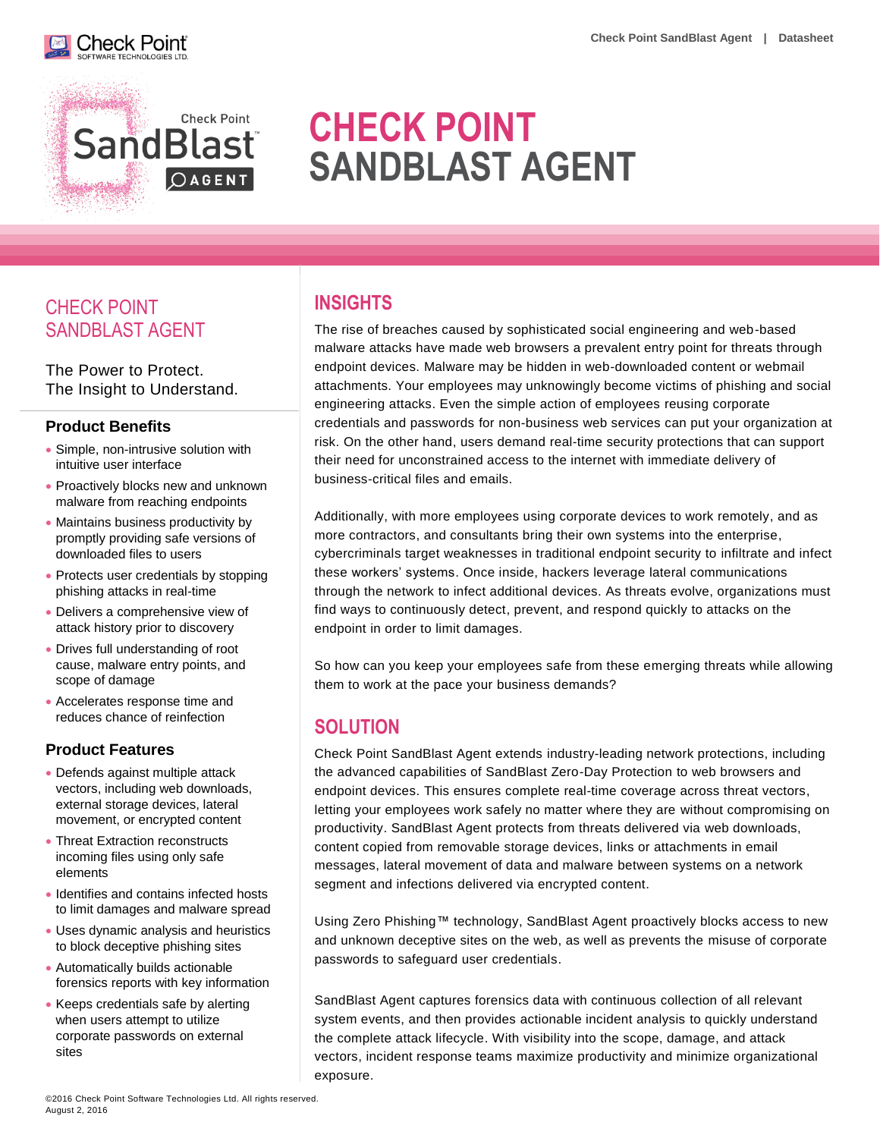



# **CHECK POINT SANDBLAST AGENT**

# CHECK POINT SANDBLAST AGENT

The Power to Protect. The Insight to Understand.

#### **Product Benefits**

- Simple, non-intrusive solution with intuitive user interface
- Proactively blocks new and unknown malware from reaching endpoints
- Maintains business productivity by promptly providing safe versions of downloaded files to users
- Protects user credentials by stopping phishing attacks in real-time
- Delivers a comprehensive view of attack history prior to discovery
- Drives full understanding of root cause, malware entry points, and scope of damage
- Accelerates response time and reduces chance of reinfection

#### **Product Features**

- Defends against multiple attack vectors, including web downloads, external storage devices, lateral movement, or encrypted content
- Threat Extraction reconstructs incoming files using only safe elements
- Identifies and contains infected hosts to limit damages and malware spread
- Uses dynamic analysis and heuristics to block deceptive phishing sites
- Automatically builds actionable forensics reports with key information
- Keeps credentials safe by alerting when users attempt to utilize corporate passwords on external sites

## **INSIGHTS**

The rise of breaches caused by sophisticated social engineering and web-based malware attacks have made web browsers a prevalent entry point for threats through endpoint devices. Malware may be hidden in web-downloaded content or webmail attachments. Your employees may unknowingly become victims of phishing and social engineering attacks. Even the simple action of employees reusing corporate credentials and passwords for non-business web services can put your organization at risk. On the other hand, users demand real-time security protections that can support their need for unconstrained access to the internet with immediate delivery of business-critical files and emails.

Additionally, with more employees using corporate devices to work remotely, and as more contractors, and consultants bring their own systems into the enterprise, cybercriminals target weaknesses in traditional endpoint security to infiltrate and infect these workers' systems. Once inside, hackers leverage lateral communications through the network to infect additional devices. As threats evolve, organizations must find ways to continuously detect, prevent, and respond quickly to attacks on the endpoint in order to limit damages.

So how can you keep your employees safe from these emerging threats while allowing them to work at the pace your business demands?

# **SOLUTION**

Check Point SandBlast Agent extends industry-leading network protections, including the advanced capabilities of SandBlast Zero-Day Protection to web browsers and endpoint devices. This ensures complete real-time coverage across threat vectors, letting your employees work safely no matter where they are without compromising on productivity. SandBlast Agent protects from threats delivered via web downloads, content copied from removable storage devices, links or attachments in email messages, lateral movement of data and malware between systems on a network segment and infections delivered via encrypted content.

Using Zero Phishing™ technology, SandBlast Agent proactively blocks access to new and unknown deceptive sites on the web, as well as prevents the misuse of corporate passwords to safeguard user credentials.

SandBlast Agent captures forensics data with continuous collection of all relevant system events, and then provides actionable incident analysis to quickly understand the complete attack lifecycle. With visibility into the scope, damage, and attack vectors, incident response teams maximize productivity and minimize organizational exposure.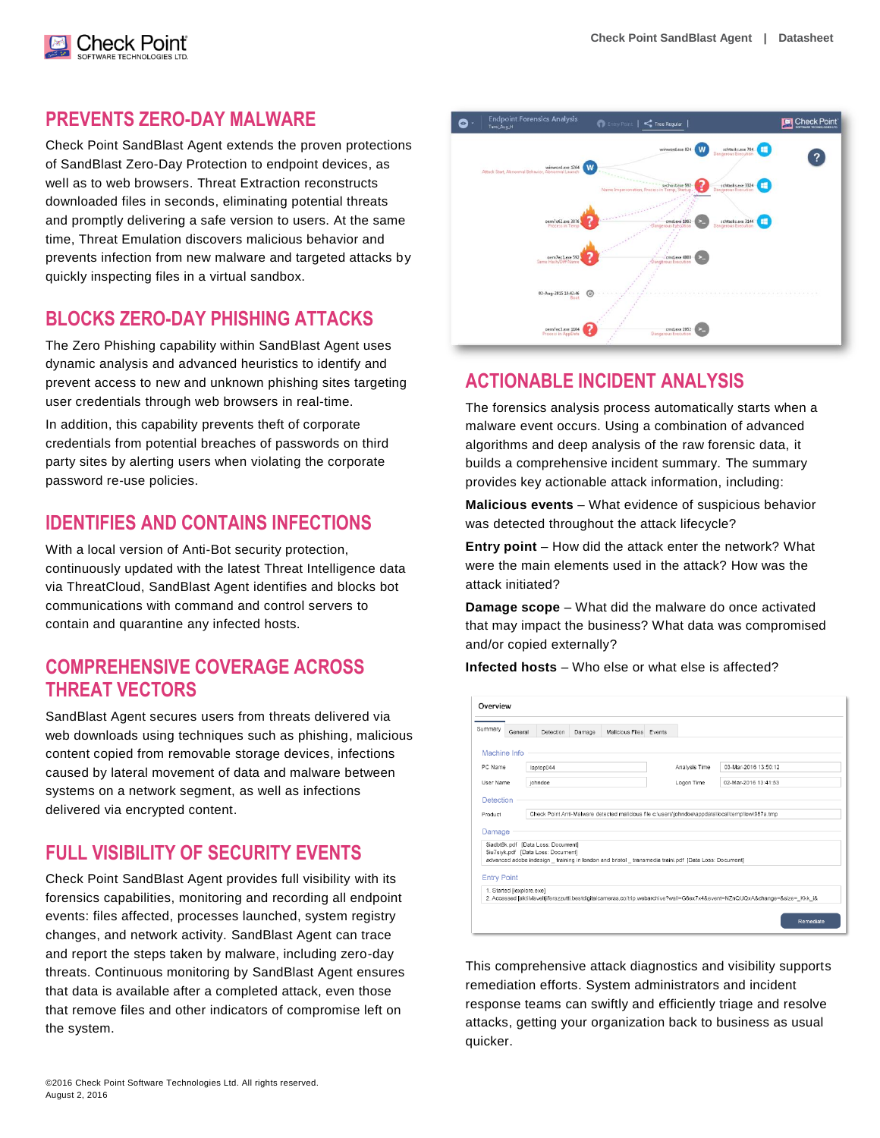#### **PREVENTS ZERO-DAY MALWARE**

Check Poinť

Check Point SandBlast Agent extends the proven protections of SandBlast Zero-Day Protection to endpoint devices, as well as to web browsers. Threat Extraction reconstructs downloaded files in seconds, eliminating potential threats and promptly delivering a safe version to users. At the same time, Threat Emulation discovers malicious behavior and prevents infection from new malware and targeted attacks by quickly inspecting files in a virtual sandbox.

#### **BLOCKS ZERO-DAY PHISHING ATTACKS**

The Zero Phishing capability within SandBlast Agent uses dynamic analysis and advanced heuristics to identify and prevent access to new and unknown phishing sites targeting user credentials through web browsers in real-time.

In addition, this capability prevents theft of corporate credentials from potential breaches of passwords on third party sites by alerting users when violating the corporate password re-use policies.

#### **IDENTIFIES AND CONTAINS INFECTIONS**

With a local version of Anti-Bot security protection, continuously updated with the latest Threat Intelligence data via ThreatCloud, SandBlast Agent identifies and blocks bot communications with command and control servers to contain and quarantine any infected hosts.

#### **COMPREHENSIVE COVERAGE ACROSS THREAT VECTORS**

SandBlast Agent secures users from threats delivered via web downloads using techniques such as phishing, malicious content copied from removable storage devices, infections caused by lateral movement of data and malware between systems on a network segment, as well as infections delivered via encrypted content.

#### **FULL VISIBILITY OF SECURITY EVENTS**

Check Point SandBlast Agent provides full visibility with its forensics capabilities, monitoring and recording all endpoint events: files affected, processes launched, system registry changes, and network activity. SandBlast Agent can trace and report the steps taken by malware, including zero-day threats. Continuous monitoring by SandBlast Agent ensures that data is available after a completed attack, even those that remove files and other indicators of compromise left on the system.



#### **ACTIONABLE INCIDENT ANALYSIS**

The forensics analysis process automatically starts when a malware event occurs. Using a combination of advanced algorithms and deep analysis of the raw forensic data, it builds a comprehensive incident summary. The summary provides key actionable attack information, including:

**Malicious events** – What evidence of suspicious behavior was detected throughout the attack lifecycle?

**Entry point** – How did the attack enter the network? What were the main elements used in the attack? How was the attack initiated?

**Damage scope** – What did the malware do once activated that may impact the business? What data was compromised and/or copied externally?

**Infected hosts** – Who else or what else is affected?

|                      | General                   | Detection                                                                                         | Damage | Malicious Files Events |  |                                                                                                        |                      |
|----------------------|---------------------------|---------------------------------------------------------------------------------------------------|--------|------------------------|--|--------------------------------------------------------------------------------------------------------|----------------------|
|                      |                           |                                                                                                   |        |                        |  |                                                                                                        |                      |
|                      | Machine Info              |                                                                                                   |        |                        |  |                                                                                                        |                      |
| PC Name<br>User Name |                           | laptop044                                                                                         |        |                        |  | Analysis Time                                                                                          | 03-Mar-2016 13:50:12 |
|                      |                           | iohndoe                                                                                           |        |                        |  | Logon Time                                                                                             | 02-Mar-2016 13:41:53 |
| Detection            |                           |                                                                                                   |        |                        |  |                                                                                                        |                      |
|                      |                           |                                                                                                   |        |                        |  |                                                                                                        |                      |
| Product              |                           | Check Point Anti-Malware detected malicious file c:\users\iohndoe\appdata\local\temp\low\987a.tmp |        |                        |  |                                                                                                        |                      |
|                      |                           |                                                                                                   |        |                        |  |                                                                                                        |                      |
|                      |                           |                                                                                                   |        |                        |  |                                                                                                        |                      |
|                      |                           |                                                                                                   |        |                        |  |                                                                                                        |                      |
|                      |                           | \$iadbt8k.pdf [Data Loss: Document]<br>\$iu7siyk.pdf [Data Loss: Document]                        |        |                        |  |                                                                                                        |                      |
| Damage               |                           |                                                                                                   |        |                        |  | advanced adobe indesign _ training in london and bristol _ transmedia traini.pdf [Data Loss: Document] |                      |
|                      |                           |                                                                                                   |        |                        |  |                                                                                                        |                      |
| <b>Entry Point</b>   | 1. Started [iexplore.exe] |                                                                                                   |        |                        |  |                                                                                                        |                      |

This comprehensive attack diagnostics and visibility supports remediation efforts. System administrators and incident response teams can swiftly and efficiently triage and resolve attacks, getting your organization back to business as usual quicker.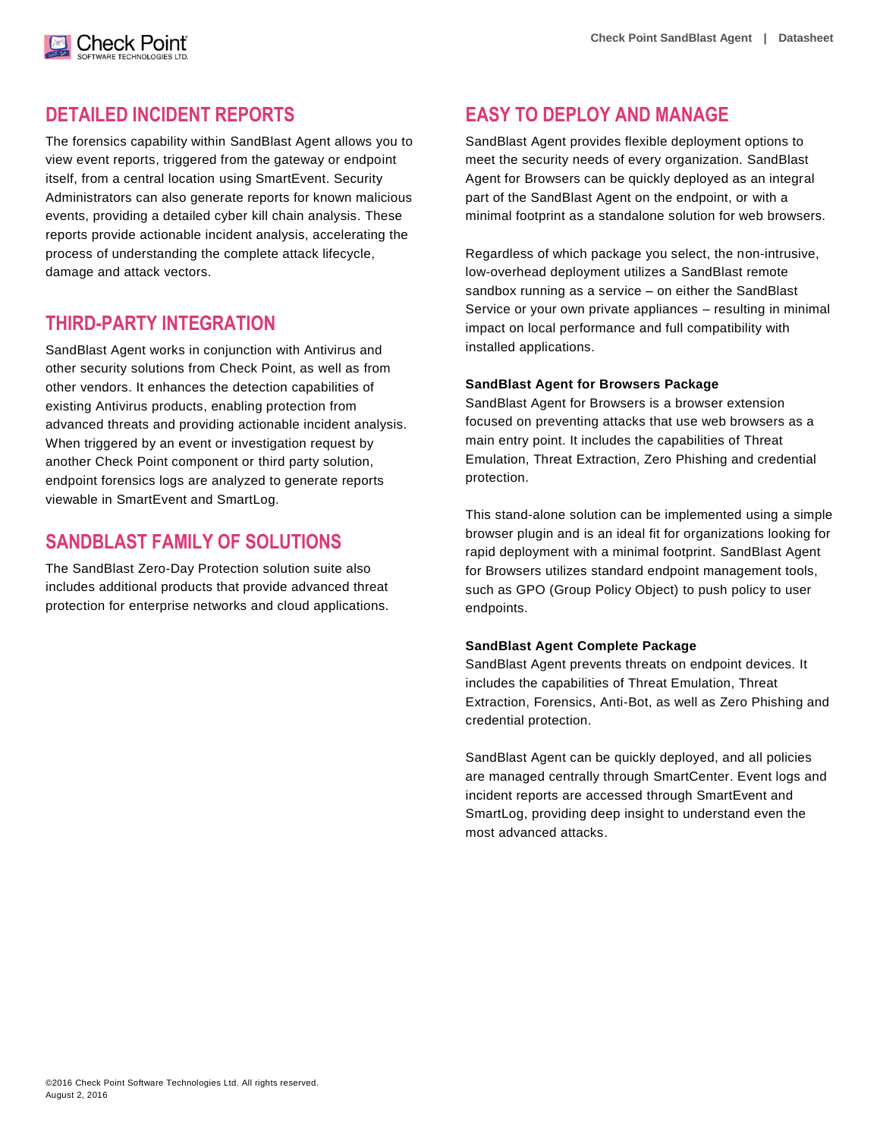#### **DETAILED INCIDENT REPORTS**

Check Poinť

The forensics capability within SandBlast Agent allows you to view event reports, triggered from the gateway or endpoint itself, from a central location using SmartEvent. Security Administrators can also generate reports for known malicious events, providing a detailed cyber kill chain analysis. These reports provide actionable incident analysis, accelerating the process of understanding the complete attack lifecycle, damage and attack vectors.

## **THIRD-PARTY INTEGRATION**

SandBlast Agent works in conjunction with Antivirus and other security solutions from Check Point, as well as from other vendors. It enhances the detection capabilities of existing Antivirus products, enabling protection from advanced threats and providing actionable incident analysis. When triggered by an event or investigation request by another Check Point component or third party solution, endpoint forensics logs are analyzed to generate reports viewable in SmartEvent and SmartLog.

# **SANDBLAST FAMILY OF SOLUTIONS**

The SandBlast Zero-Day Protection solution suite also includes additional products that provide advanced threat protection for enterprise networks and cloud applications.

## **EASY TO DEPLOY AND MANAGE**

SandBlast Agent provides flexible deployment options to meet the security needs of every organization. SandBlast Agent for Browsers can be quickly deployed as an integral part of the SandBlast Agent on the endpoint, or with a minimal footprint as a standalone solution for web browsers.

Regardless of which package you select, the non-intrusive, low-overhead deployment utilizes a SandBlast remote sandbox running as a service – on either the SandBlast Service or your own private appliances – resulting in minimal impact on local performance and full compatibility with installed applications.

#### **SandBlast Agent for Browsers Package**

SandBlast Agent for Browsers is a browser extension focused on preventing attacks that use web browsers as a main entry point. It includes the capabilities of Threat Emulation, Threat Extraction, Zero Phishing and credential protection.

This stand-alone solution can be implemented using a simple browser plugin and is an ideal fit for organizations looking for rapid deployment with a minimal footprint. SandBlast Agent for Browsers utilizes standard endpoint management tools, such as GPO (Group Policy Object) to push policy to user endpoints.

#### **SandBlast Agent Complete Package**

SandBlast Agent prevents threats on endpoint devices. It includes the capabilities of Threat Emulation, Threat Extraction, Forensics, Anti-Bot, as well as Zero Phishing and credential protection.

SandBlast Agent can be quickly deployed, and all policies are managed centrally through SmartCenter. Event logs and incident reports are accessed through SmartEvent and SmartLog, providing deep insight to understand even the most advanced attacks.